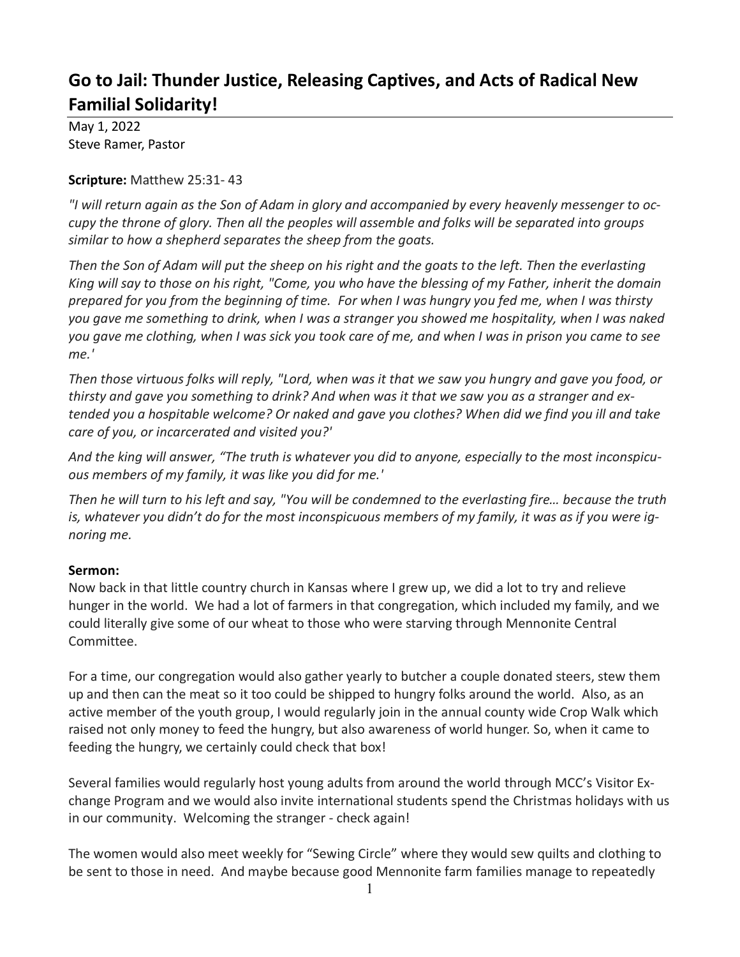## **Go to Jail: Thunder Justice, Releasing Captives, and Acts of Radical New Familial Solidarity!**

May 1, 2022 Steve Ramer, Pastor

## **Scripture:** Matthew 25:31- 43

*"I will return again as the Son of Adam in glory and accompanied by every heavenly messenger to occupy the throne of glory. Then all the peoples will assemble and folks will be separated into groups similar to how a shepherd separates the sheep from the goats.*

*Then the Son of Adam will put the sheep on his right and the goats to the left. Then the everlasting King will say to those on his right, "Come, you who have the blessing of my Father, inherit the domain prepared for you from the beginning of time. For when I was hungry you fed me, when I was thirsty you gave me something to drink, when I was a stranger you showed me hospitality, when I was naked you gave me clothing, when I was sick you took care of me, and when I was in prison you came to see me.'*

*Then those virtuous folks will reply, "Lord, when was it that we saw you hungry and gave you food, or thirsty and gave you something to drink? And when was it that we saw you as a stranger and extended you a hospitable welcome? Or naked and gave you clothes? When did we find you ill and take care of you, or incarcerated and visited you?'*

*And the king will answer, "The truth is whatever you did to anyone, especially to the most inconspicuous members of my family, it was like you did for me.'*

*Then he will turn to his left and say, "You will be condemned to the everlasting fire… because the truth is, whatever you didn't do for the most inconspicuous members of my family, it was as if you were ignoring me.*

## **Sermon:**

Now back in that little country church in Kansas where I grew up, we did a lot to try and relieve hunger in the world. We had a lot of farmers in that congregation, which included my family, and we could literally give some of our wheat to those who were starving through Mennonite Central Committee.

For a time, our congregation would also gather yearly to butcher a couple donated steers, stew them up and then can the meat so it too could be shipped to hungry folks around the world. Also, as an active member of the youth group, I would regularly join in the annual county wide Crop Walk which raised not only money to feed the hungry, but also awareness of world hunger. So, when it came to feeding the hungry, we certainly could check that box!

Several families would regularly host young adults from around the world through MCC's Visitor Exchange Program and we would also invite international students spend the Christmas holidays with us in our community. Welcoming the stranger - check again!

The women would also meet weekly for "Sewing Circle" where they would sew quilts and clothing to be sent to those in need. And maybe because good Mennonite farm families manage to repeatedly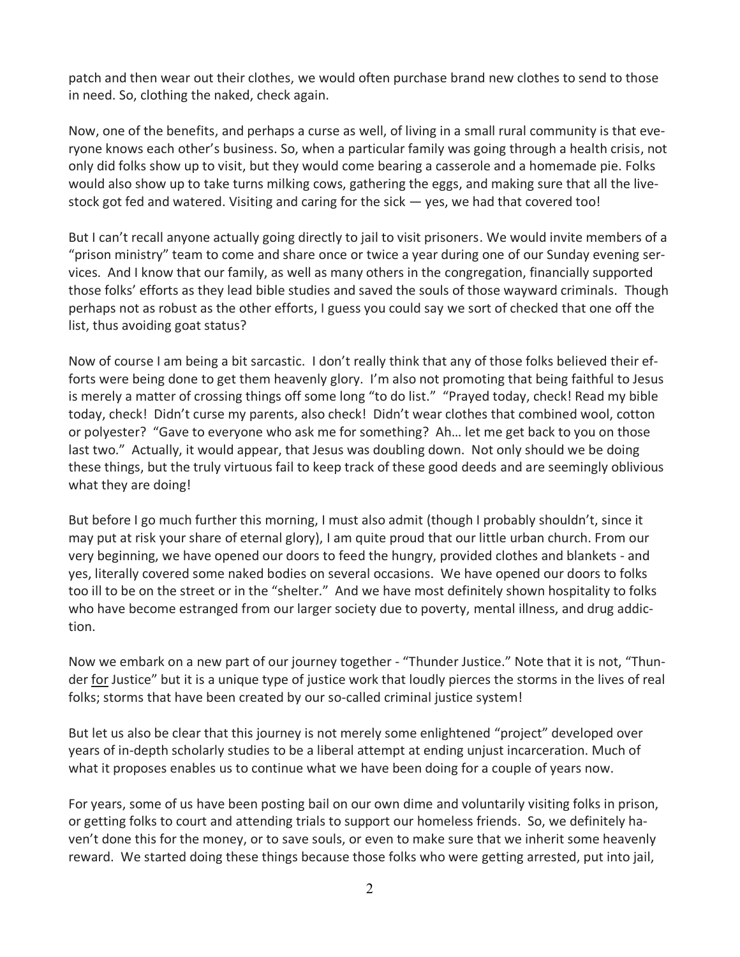patch and then wear out their clothes, we would often purchase brand new clothes to send to those in need. So, clothing the naked, check again.

Now, one of the benefits, and perhaps a curse as well, of living in a small rural community is that everyone knows each other's business. So, when a particular family was going through a health crisis, not only did folks show up to visit, but they would come bearing a casserole and a homemade pie. Folks would also show up to take turns milking cows, gathering the eggs, and making sure that all the livestock got fed and watered. Visiting and caring for the sick — yes, we had that covered too!

But I can't recall anyone actually going directly to jail to visit prisoners. We would invite members of a "prison ministry" team to come and share once or twice a year during one of our Sunday evening services. And I know that our family, as well as many others in the congregation, financially supported those folks' efforts as they lead bible studies and saved the souls of those wayward criminals. Though perhaps not as robust as the other efforts, I guess you could say we sort of checked that one off the list, thus avoiding goat status?

Now of course I am being a bit sarcastic. I don't really think that any of those folks believed their efforts were being done to get them heavenly glory. I'm also not promoting that being faithful to Jesus is merely a matter of crossing things off some long "to do list." "Prayed today, check! Read my bible today, check! Didn't curse my parents, also check! Didn't wear clothes that combined wool, cotton or polyester? "Gave to everyone who ask me for something? Ah… let me get back to you on those last two." Actually, it would appear, that Jesus was doubling down. Not only should we be doing these things, but the truly virtuous fail to keep track of these good deeds and are seemingly oblivious what they are doing!

But before I go much further this morning, I must also admit (though I probably shouldn't, since it may put at risk your share of eternal glory), I am quite proud that our little urban church. From our very beginning, we have opened our doors to feed the hungry, provided clothes and blankets - and yes, literally covered some naked bodies on several occasions. We have opened our doors to folks too ill to be on the street or in the "shelter." And we have most definitely shown hospitality to folks who have become estranged from our larger society due to poverty, mental illness, and drug addiction.

Now we embark on a new part of our journey together - "Thunder Justice." Note that it is not, "Thunder for Justice" but it is a unique type of justice work that loudly pierces the storms in the lives of real folks; storms that have been created by our so-called criminal justice system!

But let us also be clear that this journey is not merely some enlightened "project" developed over years of in-depth scholarly studies to be a liberal attempt at ending unjust incarceration. Much of what it proposes enables us to continue what we have been doing for a couple of years now.

For years, some of us have been posting bail on our own dime and voluntarily visiting folks in prison, or getting folks to court and attending trials to support our homeless friends. So, we definitely haven't done this for the money, or to save souls, or even to make sure that we inherit some heavenly reward. We started doing these things because those folks who were getting arrested, put into jail,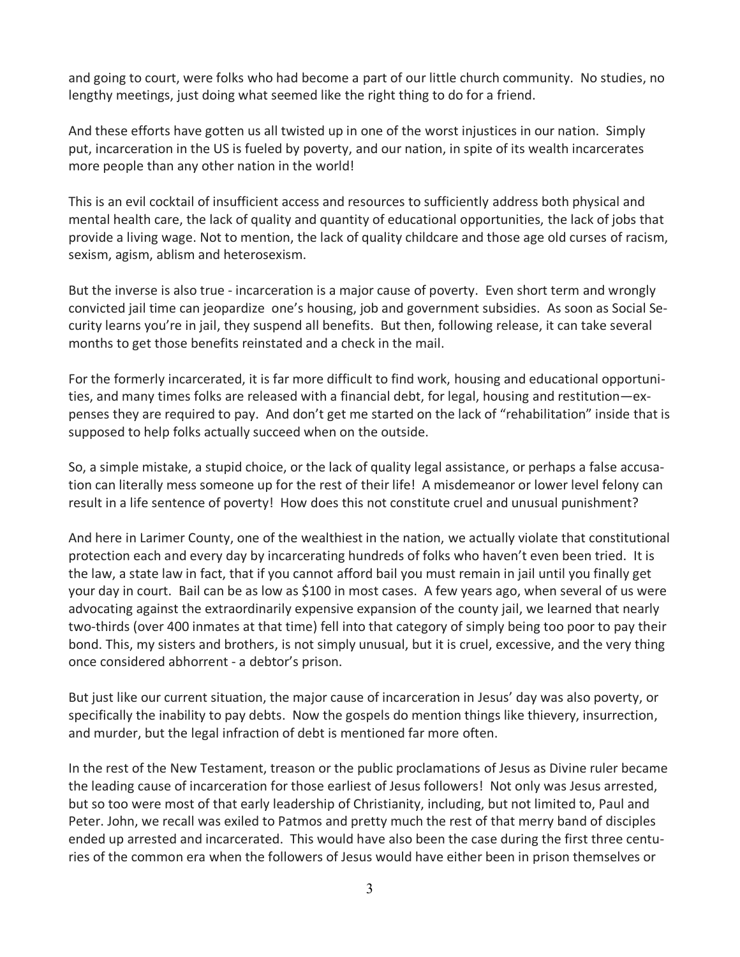and going to court, were folks who had become a part of our little church community. No studies, no lengthy meetings, just doing what seemed like the right thing to do for a friend.

And these efforts have gotten us all twisted up in one of the worst injustices in our nation. Simply put, incarceration in the US is fueled by poverty, and our nation, in spite of its wealth incarcerates more people than any other nation in the world!

This is an evil cocktail of insufficient access and resources to sufficiently address both physical and mental health care, the lack of quality and quantity of educational opportunities, the lack of jobs that provide a living wage. Not to mention, the lack of quality childcare and those age old curses of racism, sexism, agism, ablism and heterosexism.

But the inverse is also true - incarceration is a major cause of poverty. Even short term and wrongly convicted jail time can jeopardize one's housing, job and government subsidies. As soon as Social Security learns you're in jail, they suspend all benefits. But then, following release, it can take several months to get those benefits reinstated and a check in the mail.

For the formerly incarcerated, it is far more difficult to find work, housing and educational opportunities, and many times folks are released with a financial debt, for legal, housing and restitution—expenses they are required to pay. And don't get me started on the lack of "rehabilitation" inside that is supposed to help folks actually succeed when on the outside.

So, a simple mistake, a stupid choice, or the lack of quality legal assistance, or perhaps a false accusation can literally mess someone up for the rest of their life! A misdemeanor or lower level felony can result in a life sentence of poverty! How does this not constitute cruel and unusual punishment?

And here in Larimer County, one of the wealthiest in the nation, we actually violate that constitutional protection each and every day by incarcerating hundreds of folks who haven't even been tried. It is the law, a state law in fact, that if you cannot afford bail you must remain in jail until you finally get your day in court. Bail can be as low as \$100 in most cases. A few years ago, when several of us were advocating against the extraordinarily expensive expansion of the county jail, we learned that nearly two-thirds (over 400 inmates at that time) fell into that category of simply being too poor to pay their bond. This, my sisters and brothers, is not simply unusual, but it is cruel, excessive, and the very thing once considered abhorrent - a debtor's prison.

But just like our current situation, the major cause of incarceration in Jesus' day was also poverty, or specifically the inability to pay debts. Now the gospels do mention things like thievery, insurrection, and murder, but the legal infraction of debt is mentioned far more often.

In the rest of the New Testament, treason or the public proclamations of Jesus as Divine ruler became the leading cause of incarceration for those earliest of Jesus followers! Not only was Jesus arrested, but so too were most of that early leadership of Christianity, including, but not limited to, Paul and Peter. John, we recall was exiled to Patmos and pretty much the rest of that merry band of disciples ended up arrested and incarcerated. This would have also been the case during the first three centuries of the common era when the followers of Jesus would have either been in prison themselves or